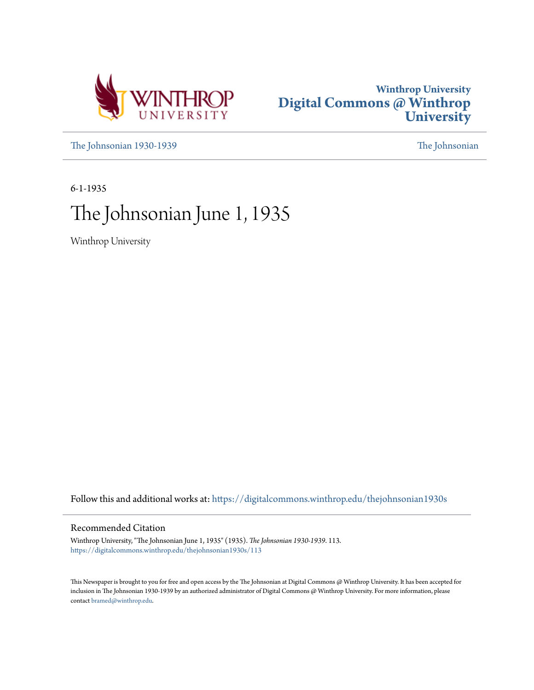



[The Johnsonian 1930-1939](https://digitalcommons.winthrop.edu/thejohnsonian1930s?utm_source=digitalcommons.winthrop.edu%2Fthejohnsonian1930s%2F113&utm_medium=PDF&utm_campaign=PDFCoverPages) [The Johnsonian](https://digitalcommons.winthrop.edu/thejohnsonian_newspaper?utm_source=digitalcommons.winthrop.edu%2Fthejohnsonian1930s%2F113&utm_medium=PDF&utm_campaign=PDFCoverPages)

6-1-1935

# The Johnsonian June 1, 1935

Winthrop University

Follow this and additional works at: [https://digitalcommons.winthrop.edu/thejohnsonian1930s](https://digitalcommons.winthrop.edu/thejohnsonian1930s?utm_source=digitalcommons.winthrop.edu%2Fthejohnsonian1930s%2F113&utm_medium=PDF&utm_campaign=PDFCoverPages)

## Recommended Citation

Winthrop University, "The Johnsonian June 1, 1935" (1935). *The Johnsonian 1930-1939*. 113. [https://digitalcommons.winthrop.edu/thejohnsonian1930s/113](https://digitalcommons.winthrop.edu/thejohnsonian1930s/113?utm_source=digitalcommons.winthrop.edu%2Fthejohnsonian1930s%2F113&utm_medium=PDF&utm_campaign=PDFCoverPages)

This Newspaper is brought to you for free and open access by the The Johnsonian at Digital Commons @ Winthrop University. It has been accepted for inclusion in The Johnsonian 1930-1939 by an authorized administrator of Digital Commons @ Winthrop University. For more information, please contact [bramed@winthrop.edu](mailto:bramed@winthrop.edu).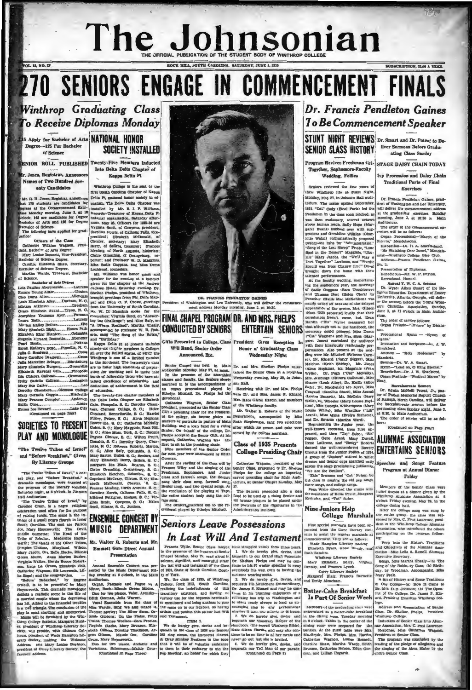# The Johnson of the Son Dian SUBSCRIPTION, \$1.00 A VEAR.

## SENIORS ENGAGE IN COMMENCEMENT FINAL  $\boldsymbol{0}$

Winthrop Graduating Class To Receive Diplomas Monday

Degree-125 For Bachelor of Sel

VOL. 12, NO. 28

NIOR ROLL PUBLISHED Twenty-Five Members Inducted

. Jones, Registrar, Announce Names of Two Hundred Sev-<br>enty Candidates

Mr. R. H. Jones, Registrar, announces<br>hat 170 students are candidates for<br>syrecs at the Commencement Excrete<br>isses Monday morning, June 3, at 10<br>velock; 145 are candidates for Degree<br>Sachelor of Arts, and 126 for Degree es, Regis fr. R. H. Jos chelor of So sachelor of ecoence.<br>The following have applied for grad-

ntion:<br>
Olfierrs of the Class<br>
Catherine Wilkins Wagnon, Presi-<br>
ent, Bachelor of Arts Degree.<br>
Mary Louise Bennsti, Vice-President, dent, Bachelor of Arts Degree.<br>
Bachelor of Science Degree.<br>
Bachelor of Science Degree.<br>
Carolins. Elizabeth Shaw, Sccretary.<br>
Carolins. Elizabeth Shaw, Sccretary.<br>
Bachelor of Science Degree.<br>
Martha Warde, Treasurer, Ba

alar of Aris Decree

| Lola Pauline AbercrombleLauren     |  |
|------------------------------------|--|
| Emmie Young AdairClinton           |  |
| Cleo Doris Allen Allendals         |  |
| Leah Elizabeth AlleyDurbam, N. O   |  |
| Miriam AtkinsonGresham             |  |
| Grace Elizabeth AvantTryon, N. C   |  |
| Josephine Youmans Ayer Furmar      |  |
| Laura BabbLauren                   |  |
|                                    |  |
| Mary Elizabeth BigbyHones Path     |  |
|                                    |  |
| Elizabeth King BlantonColumbia     |  |
| Eugenia licvard BonnetteEbeneze    |  |
|                                    |  |
| Sarah Kathryn BoydPineville, M. C  |  |
|                                    |  |
| Mary Caroline BradwellCross        |  |
| Julia Marceline BridgesBlacksburg  |  |
| Mary Elizabeth Burgard  Greenville |  |
| Elizabeth Ravenel Cain  Pinopoli   |  |
| Ida Chicora Calhoun Greenwood      |  |
| Ruby Sadella CallisonLexington     |  |
|                                    |  |
| Dorothy ChambersClemson College    |  |
| Mary Cornella CoggiuBlackvill-     |  |
| Mary Frances ComptonAnderson       |  |
| matters change the Taylor          |  |
|                                    |  |

Lake City SOCIETIES TO PRESENT

PLAY AND MONOLOGUE "The Twelve Tribes of Israel" and "Before Breakfast," Given

### By Literary Groups

"The Twelve Tribes of Iaracl," a one-<br>set play, and "Before Breakfast," a dramatio monologue, were enseted at<br>the program of the literary societies,<br>Saturday night, at 8 o'clock, in Johnson<br>Hall Auditorium

as proposed this binary and the binary and the state of the conduction of the playing of The Sanora persons also not the playing of the Sanora persons also not the state of the state of the state of the state of the state

5 Apply for Bachelor of Arts NATIONAL HONOR SOCIETY INSTALLED

> Into Delta Delta Chapter of Kappa Delta Pi

Winthrop College is the seat of the<br>first Bouth Carolina Chapter of Kappa<br>Delta Pi, national honor society in education. The Delta Chapter was Delta Pi, gatdonal henor society in ed-<br>metallon, The Dalta Chapter was lusted<br>in the Dalta Chapter was lusted by Mr. E. J. P. Williams, The Dalta Chapter was recorder-Tresaurer of Kappa Delta Pi<br>plantion, Saturday differ

nd "Birthday.

Eappa Delta Pi at present include ninety-six charges members in Colleges<br>all over the United States, of which the<br>Winthrop is one of a limited number<br>in the Southeast. The fraternity's share

| all over the United States, of which the chirac cluster is a halo in the content of the settlest and the settlest and the settlest and the settlest and the settlest and the settlest and the settlest and the settlest and



DR. FRANCES PENDLETON CAINES<br>ington and Lee University, who will deliver<br>it address Monday morning, June 3, at 10:30. President of Wash ment ads

## FINAL CHAPEL PROGRAM DR. AND MRS. PHELPS **CONDUCTED BY SENIORS ENTERTAIN SENIORS**

Gifts Presented to College, Class President Gives Reception In Will Read, Senior Order

Announced, Btc.

**Wednesday Night** 

**Honor of Graduating Class** 

## **To Be Commencement Speaker** STUNT NIGHT REVIEWS Dr. Smart and Dr. Poteat to De-SENIOR CLASS HISTORY Liver Sermons Before Gradu-

Dr. Francis Pendleton Gaines

Program Revives Freshman Get- STAGE DAISY CHAIN TODAY Together, Sophomore-Faculty Wedding, Follies

Seniors reviewed the four years of<br>their Winthrop life at Stunt Night, Monday, May 27, in Johnson Hall auditorium. The scene opensul September, 1931. "Cat" Cody (Ethel Faris) led the

Freshmen in the class song pitched, as<br>was then customary, several octaves<br>was then customary, several octaves<br>gave human reach, fauly Hope (Mar-<br>gastions and Geraldine Wilkias (Char-<br>gastions and Geraldine Wilkias (Chargestions and dernatione was unarchived by proposed<br>botte Walsh) enchualastically proposed<br>veenty-one rahs for "Administration."<br>"Song of the Lost Sheep" Pruit, "Lone-<br>lele" Mary Jacobs. the "We'll Play a Duct Together" Lawhons, and "Weedic brought down the house with their<br>talented performances.<br>At the faculty wedding, immortaliz-

is<br>varied geriferanances. While the result of the figure of the factoring performances.<br>
At the factoring performances of the state operator of the state of the state of the state of the state and the state of the perform

fresses and Senior caps marched gaily

dresses and Serior caps marched gally<br>according jubilantly, scenarios the stage proclaiming jubilantly.<br>"We are the Senfors".<br>"Lele" Brunson and "Cak" Nelson led<br>the class in singing the old pep songs,<br>slater acords, and c

Kerhulas, and "Tat" Suber.

# Nine Juniors Help<br>College Marshals

Nine special marshals have been ap-<br>unted from the three literary sec-<br>ties to assist the regular marshals at<br>mannencement. They are as follows:<br>Wade Mampion Literary Seciety<br>Elizabeth Byars. Anne Bundy, and<br>util Sanders.

Elizabeth Eyers, Anne Bundy, and Ruin Sanders.<br>
Winkhop Literary Saeley<br>
Mary Elizabeth Berry, Virginia<br>
Mary Elizabeth Berry, Virginia<br>
Carry Literary Saeley<br>
Carry Literary Saeley<br>
Alexparet Blair, Frances Burnette,<br>
and

### Batter-Cake Breakfast Jatter-Cane Dreakrast ing of the College, Dr. Ja. Dart Of Senior Week ard. President Emeritus W

Members of the graduating class were entertained at a batter-cake breakfast in the ditting recon. Tuesday morning distinct at 9 o'clock. Tables in the center of the distinct of the distinct of the Berliney. Martha Henrich

**Ivy Procession and Dalsy Chain**<br>Traditional Parts of Final **Exercises** 

Dr. Francis Pendieton Gaines, president of Washington and Lee University, will deliver the commencement address at the graduating exercises Monday morning, June 3, at 10:30 in Main Auditorium.<br>The order of the commencement ex-<br>The order of the commencement ex-

ercises will be as follows: Organ Processional-"March of the<br>Priecta," Mendelssohn.

Piuvia, atenoeasonn.<br>Invosnilon--Dr. R. A. MacParland.<br>"He Watching Over Israel," Mendels-

sohn-Winthrop College Glee Club.<br>Address-Prancis Pendleton Gaines,

Ph. D. Presentation of Diploma<br>Benediction-Mr. W. P.

Benediction-Mr. W. P. Pryton,<br>Recessional, Handel,

Recessional, Handel, C. A. Serman<br>
D. Wayat. Aklam, Standard of Energy Biggers Education Department of Energy<br>
University, Allanto, Ocergia, will deliversity, Allanto, Ocergia, will deliversity<br>
or the sermon below the You

num.<br>"The order of service folk<br>Organ Prelude--"Reviere

al Hyp

Procession<br>Aghts."<br>Invocation<br>Shackford.<br>Anthern<br>Aarchett. - 'Holy Redeemer" by

Dr. W. A. 8

Bermon-Dr. W. A. Smart.<br>Hymn-"Lead on, O Eing Eternal."<br>Benediction-Dr. J. W. Shackford.<br>Organ Postlude--"Festival March" by

Baccalaurente Sermon<br>Dr. Edwin McNeill Potent, Jr., pas-

tor of Pullen Memorial Baptist Chi of Raleigh, North Carolina, will deliver<br>the baccalaurente sermon before the graduating class Sunday night, June 2, at 8:30, in Main Auditorium. The order of service will be as fol-

lows: (Continued on Page Four)

## **ALUMNAE ASSOCIATION ENTERTAINS SENIORS**

Speeches and Songs Feature Program at Annual Dinner

## Friday

Members of the Senior Class were honor guests at a dinner given by the Winthrop Alumnae Association at 6 o'clock Friday evening, May 24, in the college dining hall.

After the college song was sung by the en comed by Mrs. C. Fred Laurence, presi-<br>dent of the Winthrop College Alumnae Association, who introduced the others participating on the program follow  $ins:$ 

Peep Into the History, Tradi and Objectives of the Alumnae<br>ciation Miss Leila A. Russell, Ala ae Asso-Executive Secretary.

Songs, Miss Martha Shealy-(a) The Song of the Robin, by Case; (b) Birthday, by Woodman, A companist, Miss Mary Peele.<br>A Bit of History and Some Tradition

of Our College-(a) How It Came to<br>Be, Mrs. D. B. Johnson; (b) The Openon; (b) The Op s P. Kinus Winthrep Col-

lege.<br>Address and Presentation of Senior Class. Dr. Skelton Phelps, Pr ddent Winthrop College.<br>Induction of Senior Class Into Alum-

the nac Association, Mrs. C. P.<br>Mrs. Response, Miss Cather<br>Mrs. President of Senior Class. in, Mrs. C. Pred La ine Wagne

The propriam was concluded by the reading of the piedge of allegiance and the singing of the Alma Mater by the cuitre Senior Giass.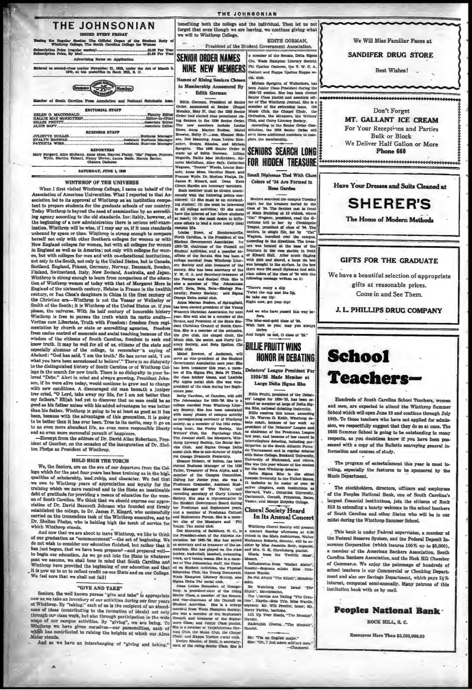

### WINTHROP OF THE UNIVERSE

When I first visited Winthrop College, I came on behalf of the<br>Association of American Universities. What I reported to that Association led to its approval of Winthrop as an institution compe-<br>tent to prepare students for the graduate schools of our country. Today Winthrop is beyond the need of examination by an accrediting agency according to the old standards. Ine: itably, however, at the beginning of a new administration there is serious self-exam ination. Winthrop will be wise, if I may say so, if it uses standard unbound by space or time. Winthrop is strong enough to compare<br>herself not only with other Southern colleges for women or with<br>New England colleges for women, but with all colleges for women in England as well as in America; not only with colleges for women, but with colleges for men and with co-educational institutions not only in the South, not only in the United States, but in Canada Scotland, England, France, Germany, Norway, Denmark, Sweden,<br>Finland, Switzerland, Italy, New Zeeland, Australia, and Japan. Funnion, Swinzerann, 14ay, *New Zemann*, Australia, and Japan.<br>Winthrop is strong enough to learn from comparison of the education of Winthrop women of today with that of Margaret More in England of the sixteenth eneurity century, or Pan Choa's daughters in China in the first century of<br>the Christian era—Winthrop is not the Vassar or Wellesley or<br>Smith of the South; it is Winthrop of the United States or, if you<br>please, the universe. With i wisdom of the citizens of South Carolina, freedom to seek and Sosson'd is calculated to doust Catalogue, treatment to see and know truth. It may be well for all of us, citizens of the state and specially alumine of the college, to remember Ta saying of Abeliard : "God has said, 'I a to the distinguished history of South Carolina or of Winthrop College in the search for new truth. There is no disloyalty to your beloved "Debe." Alert in mind and always growing, President Johnson, if he were alive today, would continue to grow and to change<br>with new conditions. A discouraged old man beneath a juniper<br>tree cried, "O Lord, take away my life, for I am not better than tree cried, "O Lord, take away my life, for I am not better tunn tree cried, "O Lord, take away my the mean could be as provided as the state and good as his father miless with his added advantages be was better than his to an even more abundant life, an even more responsible liberty and an even more successful pursuit of happine

-Excerpt from the address of Dr. David Allan Robertson, President of Goucher, on the occasion of the inauguration of Dr. Shelton Phelps as President of Winthrop.

### **HOLD RIGH THE TORCH**

We, the Seniors, are on the eve of our departure from the Collage which for the past four years has been training us in the high qualities of scholarship, lead x-ship, and character. We feel that all the scholarship, lead gowners of the basis course yearns and been training us in the high insemine of the Gamps course of scholarship, lead xwhb and character. We feel that During her Junder peace, she was a solution of the proposition and bea qualities of scholarship, lead x-ship, and character. We rest that we over to Winthrop years of approximation and hoyalty for the training which we have received and to the State an insestinghele of graditude for providin carried on the tremendous task of the Winthrop executive, and to<br>Dr. Shelton Phelps, who is holding high the torch of service for which Winthrop stands.

when winter we are about to leave Winthrop, we like to think<br>of our graduation as "common<br>ement"—the act of beginning. We<br>do not wish to consider our education finished, but rather that it<br>do not wish to consider our educa has just begun, that we have been propared-and prepared wellto b post we assume, we shall bear in mind that South Garolina and that Winthrop have provided the beginning of our education and that We feel sure that we shall not fail!

Seniors, the well known phrase "sive and take" is appropriate<br>now as we take an inventory of our activities during our four years<br>at Winthrop. By "taking," each of us is the recipient of an abundas winthrop. By "taking," each of as is the recipient of an abundance of ideals (contributing to the formation of ideals) not only thermogh our class work, but also through participation in the wide through our campus acti

### THE JOHNSONIAN

benefiting both the college and the individual. Then let us not forget that even though we are leaving, we continue giving what we will to Winthrop College.

**SENIOR ORDER NAMES** 

NINE NEW MEMBERS **Names of Rising Seniors Che** 

to Membership Announced By Edith Gorman

Edith Gorman, President of Senior<br>Order, announced at Senior Chapel<br>Monday, May 27, that the 1936 Senior Note had elected nine prominent risks of the had elected nine prominent risks of the search of the new members include Louise The new members include Louise Lands<br>and Marien Bushee, Mahel House, Mane Marien Bushee, Mahel Brown, Belty C.,<br> $\kappa$ sman, Die Manaling, Anna Louise Rentect. See<br>Josephu. The 1936 Senior Order is model sport. New man incl

contents were more constructed<br>in David How, of Hendersonville, How and David Carolina, is the President of the<br>orth Carolina, is the President of the<br>1953–36, chairman of the Council on<br>1963–1954 (Highler, and a pensher e ny S ECCRE, Sex Hes you avever of T. W. C. A. and Secretary-treasurer of<br>the Forceps and Scalpel Club. She is<br>also a member of The Johnsonian daff; Beta, Beta, Betalogy Pre ternity: Poetry So lety; and Sigm Omega Delta social club

Anna Marian Bushee, of Springfield has been elected president of the Youn **Women's Christian Association for** year. She will also be a member<br>Senate, and President of the St. of th dept Christian Council of South Card ency currents of some of sound care<br>lina. She is a member of the orchestrate<br>the glee club, the chapel choir, the<br>Music club, the sextet, and Curry Lit<br>erary Society, and Beta Epsilon Cl<br>match club Literary Socie<br>social club.

Final Society, and steps are spession only solid club.<br>
Natell Browns, of Anderson, will have spessed of the Studient has<br>
here as vice-president of the Studient has been treatment Associated<br>
the steps are the specifical

as corresponding secretary of Windhrop<br>solety, as a member of the 1985 switch-winds tensor, the Poetry Society, the<br>Writers' Glub, the Psychology Club,<br>The Journal staff, the Meanguers, Win-<br>throp Library Society, the Bosa

Eleanor Hobson, of Belton, has been<br>elected Business Manager of the 1936 Tatler, Treasurer of Reta Alpha, and a<br>member of the Campus Committee.<br>During her Junior year, also was a

EDITH GORMAN. President of the Student Government Association a member of the Senate, Delta Sign Chi. Wade Hampton Literary Society Phi Upsilon Omicron, the Y. W. C. A. Cabinet and Rappa Upsilon Rappa a cia, club.

cia. dubi<br> Miriam Speights, af Walterhoro, has<br> been Junior (Idas Freederik during the<br> 1834–35 assiders. Risk bas been elected<br> Sehulor Class plantit and associate cell-<br> for GT The Winkhrop Journal, Site is a<br> member of

Club, and Curry Literary Society. er Con-According to the Senior Order  $\equiv$ elect three additional memb  $n \in \mathbb{R}^n$ plete the membership.



**Small Diplomas Tied With Clas** Colors of '34 Are Formed in **Rose Cander** 

ment for the transmer buried by the Schules class of 34. The Schlors met in front of Main Building at 10 o'clock, where "Cat" Wagnon, president, read the " Senjors searched the campus Tuesda mass or one than Bulleting at 10 o'clock, where<br>
reads of Mahn Bulleting at 10 o'clock, where<br>
reads at 10 o'clock, where<br>
reads at 10 o'clock, where<br>
reads a fit is completed by contribution of the simple properties<br>
rea

There's many a slip<br>Twist the cup and the lip, So take our tip:<br>Right now, get your dip!

and we who have passed this way be

fore, The blue-and-gold class of '34,<br>Wish hack to you; may you alway thriv

And forget us not. O class of '35."

## **BILLIE PRUITT WINS HONOR IN DEBATING**

Debaters' League President For 1934-'35 Made Member at Large Delta Sigma Rho

Billie Pruit, president of the Density and State a member of 1894–35, has been negative a member at large of Delta Signalism factorilly. The member at Rho, national debating fractrities, in the SHU is not well to Ly. Ware have two of the Debaters<br>as chairman of the Presbman I.<br>as chairman of the Presbman I as consumed at the Presional Acesses and the record in the<br>space and the record in the record in the South Akharing particular<br>side delays and the South Akharing Particular side Towmansman and in regular delays<br>with Bates

**Choral Society Heard** 

In Its Annual Concert

Winthrop Cherul Scottly ull present to the Marian Scottle in the Marian Roberts, director, will be a<br>Buchanam Roberts, director, will be assisted by Miss Jessich Roberts, director, will be a<br>state by Miss Jessicht Both, or .<br>.mmatus from "Stabat Mater"<br>I—Soprano sololst Miss Con-

tance Wardle.<br>Be Not Afraid "The Elljah", Mendels

mhn.<br>Eighh", Mendelsschan.<br>Eighh", Mendelsschan.<br>Chris : Sawran Ave Telling "The Crea-10n", Earyth - Solo Trio, Miss Wardle, 10n", Earyth - Solo Trio, Miss Wardle, 1997<br>eopraco Mir. Will Product, tenor; Mr.<br>- Parkin, barit

Handel. Hallelujah Chorus, "The Messiah",

Handel.

He: "Tm an English major."<br>She: "Oh, I just adore mill'ary m  $-$ Chan  $n<sub>1</sub>$  We Will Miss Familiar Faces at

**SANDIFER DRUG STORE** 

**Best Wishes!** 

Don't Forget MT. GALLANT ICE CREAM For Your Receptions and Parties **Bulk or Block** We Deliver Half Gallon or More Phone 660

\*\*\*\*\*\*\*\*\*\*\*\*\*\*\*\*\*\*

Have Your Dresses and Suits Cleaned at



The Home of Modern Methods

### **GIFTS FOR THE GRADUATE**

We have a beautiful selection of appropriate gifts at reasonable prices. Come in and See Them.

J. L. PHILLIPS DRUG COMPANY



Hundreds of South Carolina School Teachers, women and men, are expected to attend the Winthrop Summer School which will open June 10 and continue through July 19th. To those teachers who have not applied for admission, we respectfully suggest that they do so at once. The 1935 Summer School is going to be outstanding in many respects, as you doubtless know if you have been possessed with a copy of the Bulletin conveying general information and courses of study.

The program of entertainment this year is most inviting, especially the festures to be sponsored by the Music Department.

The stockholders, directors, officers and employees of the Peoples National Bank, one of South Carolina's largest financial institutions, join the citizens of Rock Hill in extending a hearty welcome to the school teachers of South Carolina and other States who will be in our midst during the Winthrop Summer School.

This bank is under Federal supervision, a member of the Federal Reserve System, and the Federal Deposit Insurance Corporation (which insures 100% up to \$5,000), a member of the American Bankers Association, Sonth Carolina Bankers Association, and the Rock Hill Chamber of Commerce. We enjoy the patronage of hundreds of school teachera in our Commercial or Checking Department and also our Savings Department, which pays 21% interest, computed semi-annually. Many patrons of this institution hank with us by mail.

Peoples National Bank

ROCK HILL, S. C.

Resources More Than \$3,500,000.00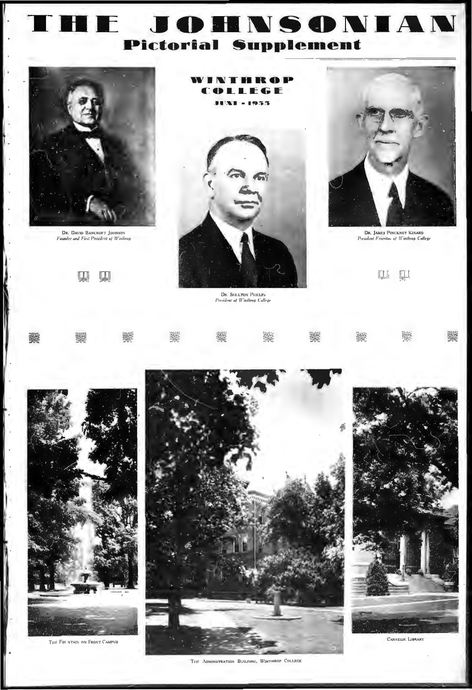# **THE JOHNSONIAN**  $\overline{1}$ **Pictorial Supplement**



۱.

路

**DR. DAVID BANCROFT JOHNSON**<br>Founder and First President of Winthrop

 $\mathfrak{P}$   $\mathfrak{P}$ 

WINTHROP ď OLLEGE **XI - 1955** 



DR. SHELTON PHELPS<br>President of Winthrop College



**DR. JAMES PINCKNEY KINARD**<br>President Ensertion of Winthrop College

回 回

|  | <b>Service description of the control of the control of the control of the control of the control of the control o</b><br>Service the control of the control of the control of the control of the control of the control of the contr |  |  |  |
|--|---------------------------------------------------------------------------------------------------------------------------------------------------------------------------------------------------------------------------------------|--|--|--|



THE FOL NTAIN ON FRONT CAMPUS





CARVECHE LIBRARY

THE ADMINISTRATION BUILDING, WINTHROP COLLEGE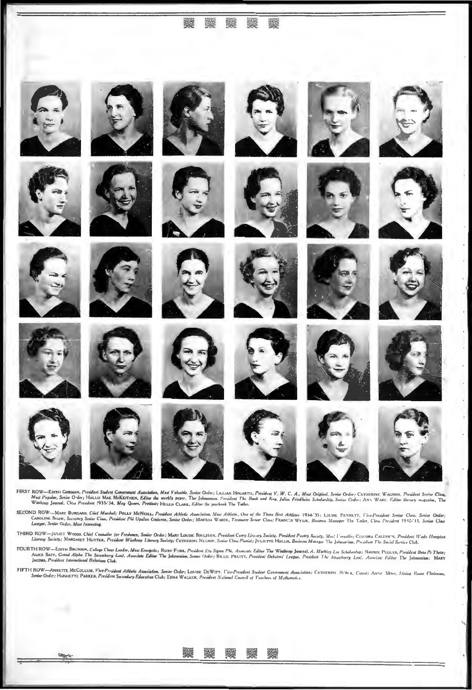## 3



FIRST ROW--Eorn: Gomman, President Student Government Association, Most Valuable, Senior Order; LILLIAN Howarts: H. President Y. W. C. A., Most Original, Senior Order: CATHERINE WAGNON, President Senior Class,<br>Most Papular

SECOND ROW—MARY BURGARD. Chief Marshal: POLLY McNEILL, President Athletic Association. Most Athletic, One of the Three Best Athlete 1934-'35: LOUISE. PENNETT, L'ice-President Senior Class, Senior Order:<br>CAROLINE SHAW, Secr

D ROW—JULIET WOODS, Chief Councler for Freshmen, Senier Order; MARY LOUSE BOYLY.ON: President Curry Licowy Society, President Poetry Society, Mos. L'erustle; Cittoria, Chalitotry, President Wade Hampton<br>Literary Society; M THIRD ROW-

FOURTH ROW—EDITH BRUNSON, College Cheer Leader, Mau Energetic; RUBY FURR, President Elu Sigma Phi, Associate Editor The Wimtheop Journal, A. Markley Lee Scholorship; NAOMIE PEGUES, President Bela Pi Theta;<br>ALICE SAFY, Gran

FIFTH ROW—ANNETTE MCCOLLUM, Vice-President Abletic Association, Senior Order; LOUBE DEWITT, I'ice-President Student Covernment Association; CATHERIN) SUBLE, Cutest; ANNT Mens, Lining Room Choirman,<br>Senior Order; HARHETTE P

ண்

鱗

骤

▓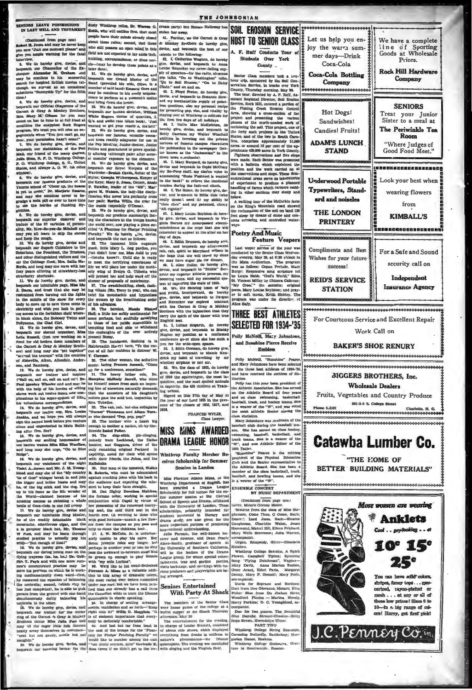**DES LEAVE POSSESSIONS**<br>LAST WILL AND TESTAMEN

(Continued from page cos)<br>rt H. Joues and may he never! ve "Just one m ne moment please" are warning for the fat you ample

rrive. A do hareby give, devise, and<br>uesth our Chancellor of the Ex-<br>uper Alexander M. Graham and<br>up he continue in his mucersful<br>coh for inspired British movies (al-<br>enjin we swresk as an cocasional<br>alinus "Sunnyside Up" ö. supplet as an occasional

ime.)<br>
a. We do hereby give, device, and<br>
a. We do hereby give, device, and<br>
paraet & Gray & Monke Broiker, stolen<br>
symmet & Gray & Monke for you may<br>
yout on her to two in at full historical<br>
regulation the two in at full  $\overline{\mathbf{C}}$ Mrs. 24 ents when "You just can't go, my

ments woen zou just can't go, my<br>your permission ham't come!"<br>We do harsby give, davise, and<br>eath our statistician of the Pan friend of the many degrees, ail, our frie<br>dia Sima, R  $Q$ ,  $W$ Vinthrop Gollege, S. O., United<br>and always A. O. W. (at other

dow). We do have<br>by give, devise, and we do have by the constant our famous graduate of the<br>tree school of "Obeer up, the hearse option of "Obeer up, he spaces"<br>with the come," Dw, has plotted Smarto, and the space online

the<br>same for the final matrix of the same of the same in the same in the same in the same of the same in the same in the same in the same in the same in the same in the same in the same in the same in the same in the same

and long may sho urge, "On to Blue only remaining or<br>princh Pectant in equivity, noised for their with direct and with<br>the risk particle relations and with their friends, the Jubite between<br>the beneath our weakeness of th

dusty Winthrop relics, Dr. Warren G. cream party) but Horace Ha a, who will outline first, that most people have their minds already closed

propon mare them miming a stready closed | al. runnian, we take burners as a travel about these ratios; second, that those of Morely give who still possess an open miled in this devise, and bequeath the best of our order o

22. We do hereby give, drama, and because<br>the because the beneficient of the beneficient of the beneficial of<br> $\mathbf{Q}^{(k)}$  of the beneficial of the beneficial of<br> $\mathbf{Q}^{(k)}$  on the beneficial of the value of<br> $\mathbf{Q}^{(k)}$ the maids (especially O'Dema). 35. We do hereby give, devise, and

gienties. We do hereby give, devise, and given a 20. We do hereby give, devise, and percept interests and beyond the outgoing and become the character in the troups known between the the of variation of the principal map

stolen her away 41. Purther, we the Garnet & Gray

uevese, and nequestin the<br>salents to the following:<br>42. I, Catherine Wagne

not wan possess and particle and the particle and beyonds the best of our field are not expected to lay state that, all trains to the following:<br>
In the film any  $\sim$  ff2. C, Calchering Wegnon, do hereby the state of the

ice Known as the "Jecksonian" to the desired and the state of the state of the state of the state of the state of the state and bequeath to Copie McCray and my Bo-Peep statt, my stated variance and the state of the state o

wise, and breasth to Billie Gole (who<br>vise, and breasth to Billie Gole (who<br>really doesn't need it) my ability to<br>"chee chee" and my patented, cheery "All rightle!" by al

All rightle!"<br>  $47.$  I, Mary Louise Boylston do here-<br>  $47.$  I, Mary Louise Boylston to Vir-<br>
ginia Barnes my unaurement absent-<br>
mindedness an the nope that ahe will<br>
remember to appear at the altar on her<br>
remember to a

mindedness an the nope that she will also will be<br>remember to appear at the nitar on her experimenter to appear at the nitar on her<br>star on the star on the star on the star on the star of the star of the<br>star of the star

carry the splitt of the dance with true<br>
Elegield aest.<br>
B1. I, Lillian Mogarth. do hereby<br>
give. devise, and bequeath to Blank<br>
Highes my position as a confirme<br>
conference go-rs since also has such<br>
yen for the wide-open

devise, and bequeath to Mamle Ker<br>drick my habit of travelling by a by ai whether airplane or hot air.

whether airpanne or not air,<br>give, deviate, and bequeath to the class<br>give, deviate, and bequeath to the class<br>of 1936 the aquirmingest, the most in-<br>quisitive, and the most spoiled animals

**DRAMA LEAGUE HONOR** 

ceives Scholarship for Summer Session in London

been awarded a Drama League<br>
dechodarahip for full tultion for the en-<br>
dechodarahip for full tultion for the en-<br>
time cannon at the Central School of Speech and Drama, affiliated<br>
with the University of London, These st

## **Seniors Entertained**

The members of the Senior Class

**HOST TO SENIOR CLASS** Students Over York County

**THE JOHNSONIAN** 

 $n$   $\epsilon$ 

feet steep by means of stone and con \*\*\*\*

Feature Vespers

unes veget out two us not your wa condustres of the May 29, at 6:30 o'clock in the Main Auditorium. The program as as follows: Organ Perlude, Mary<br>Burge: Responsive song scripture led<br>Way was as follows: Organ Perlude, Mary<br>Burge: Responsive song scripture day chester May 90 at 4:30 chiast in

of 1936 the squirmingers, the most in-<br>quisitive, and the most apolited andmals<br>in capitaly, the 450 chuldren at Train-<br>in capitaly, the 450 chuldren at Train-<br>is gigned on this 27th day of May in<br>the year of our Lord 1953

PRANCES WYLIE,<br>Class Lawyer,

**MISS MIMS AWARDED** 

Winthrop Faculty Mersber Re-

Miss Florence Adams Mima, of the<br>Winthrop Department of English, has<br>seen awarded a Drama League<br>Scholarship for full tultion for the en-

ing arranged.

## **With Party At Shack**

The numbers of the Senior Class Class (2018)<br>were honor guests of the college at a senior guests the Shack Thursday<br>afternoon, May 30<br>and the Shack Thursday<br>afternoon, May 30<br>in entertainment for the centring in the facto

A. F. Ruff Conducts Tour of

SOIL EROSION SERVICE

We have a complete<br>line of Sporting<br>Goods at Wholesale

 $p_{rìcao}$ 

**Rock Hill Hardware** 

Company

**SENIODS** 

Treat your Junior<br>Sister to a meal at

The Periwinkle Tea

Room

"Where Judges of<br>Good Food Meet."

----------

Look your best when

wearing flowers

 $f_{\text{m}}$ 

KIMBALL'S

.................

For a Safe and Sound

security call on

Independent

Insurance Agency

Charlotto, N. O.<br>00000000000

For Courteous Service and Excellent Repair

Work Call on

**BAKER'S SHOE RENURY** 

**AIGGERS BROTHERS, Inc.** 

Wholesale Dealers

Fruits, Vegetables and Country Produce **881-9-6 & College Wheel** 

**Catawba Lumber Co.** 

"THE HOME OF

BETTER BUILDING MATERIALS"

More women are wearing

**Anklets** 

Cool . . conductive . . . at

10° 15°

Was ann hann solid advan-

stripes, fancy tops ... men-<br>eerized, rayon-pheited or

**Do the movement of the process** 

10-dn a ble range of col-

ora! Hurry, got first plate

J.C. PEnney Co.m

se low prices! Sizes 8 to

Let us help you en-

loy the warra sum-

mer days-Drink

Cora-Cola

**Coca-Cola Bottling** 

Company

 $H<sub>0</sub>$  Dogs

Sandwiches! **Candies** Fruite!

**ADAM'S LUNCH** 

**STAND** 

**Underwood Portable** 

Typewriters, Stand-

ard and poiseles

THE LONDON

**PRINTERY** 

Complimente and Beet

Wishes for your future

 $m$ 

**REID'S SERVICE** 

**STATION** 

.....................

we toe two in Bouth Caroline<br>nprises approximately 51,00<br>around 12 per cent of the ap-<br>425,000 acres in York County<br>a observations

proximate 428,000 acres in York County<br>
2"<br/>ightern observations and five stop are made, Each Senior was presented<br/>with a bulletin which explained the position and the unck carried on all<br/>the big observations ar eriment to produce a plant ing in other sections may at

follow.<br>A walking tour of the McCorkie farm<br>on the King's Mountain road showed<br>the reclamation of the soil on land 125

**Poetry And Music** 

Last weeper security of the near way

program w<br>Alice Safy, THREE BEST ATHLETES

**SFI FCTFD FOR 1934-'35** Polly McNeill, Mary Johnston

and Sunshine Pierce Receive Postdam

MeNettl, "Sun<br>uy John extetil, "Sunshine" P.<br>and Mary Johnstone have been set<br>as the three best athletes of 193<br>and have received the emblem of<br>tinction.

inction.<br>Polly has this year been president of<br>the Athletic Association. She has served Poly has this year been president of<br>the Athletic Association. She has served<br>on the Athletic Board all four years<br>and on class swimming, basketball,<br>baseball, track, and hockey teams. She<br>is a wearer of the "W", and was v the most athletic Genior among the sa statistica

**Manufacture** on the way of the Mary Johnstone was chalman of the<br>needal club during the baseball sca-<br>n. She has served on class hockey,<br>fmming, baseball, basketball, and<br>nck teams. She is a wearer of the<br> $T'$ , and was Athletic Editor of the

 $^{-90}$ , and was Athletic Editor of the 1933 Tatler. Thus<br>antiser Peaces in the retiring production product of the Physical Education<br>Club and the Senior representative to the Athletic Banet and the Senior representative t

**BY MISIC DEI** (Continued from name and)

Hammon,J. Metrel Hill, Elleen Prichard

Winthrop College Sexuatto, A Solrit throp College Sextette, A Spirit<br>"Flying Dutchman", Wagner.<br>"Flying Dutchman", Wagner.<br>Davis, Anna Marion Busbee,<br>Arant, Ethel Paris, Margaret

acompanist.<br>acompanist.<br>Ducts for Soprano and Ba<br>Duct from Don Olovanni, Mozart

Disher Blue from On Ihelum Blver

Harry Parkins: D. C. Youngblood, ac

Duo for two panos, The Beautiful

FART TWO<br>Winthrop College String Ensemble<br>Caressing Butterfly, Barthelmy; Hungarian Dance, Brahms, Bureacany, Bureacany, Brahms,

www.gu wee

Hope Brown, Gwendolyn Ulmer **DART TWO** 

at Julia Wa

rnss, saasgeru<br>nell: Mary Doolo

Martha Shealt

portvone,

**ENSEMBLE CONCERT** 

Caughman, Ch

Mary Wells Stee

**Flower** Ca nows<br>inner Mary Davis Mary Luva, Anna mani Denny Mary P. Gor

risaer mwa trum<br>Woodford Pinden

 $\frac{1}{100}$ 

ture to 8

rier, Mianle Greene Mo Sextette from the class of Miss Ste Sextete from the class of Miss Ste-<br>phenson, Come Thou, O Come, Bach-Eleanor<br>Deare:'. Lord Jenns, Bach-Eleanor<br>Caughman, Charlotte Walsh, Jessie

Organ, Rhansody, Silice